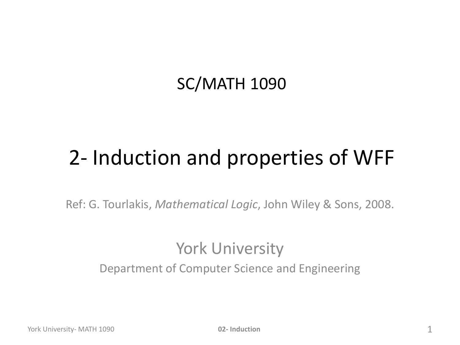### SC/MATH 1090

## 2- Induction and properties of WFF

Ref: G. Tourlakis, *Mathematical Logic*, John Wiley & Sons, 2008.

#### York University Department of Computer Science and Engineering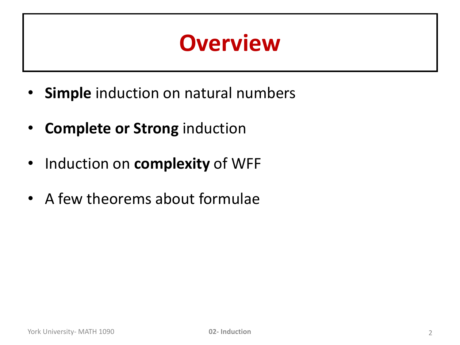## **Overview**

- **Simple** induction on natural numbers
- **Complete or Strong** induction
- Induction on **complexity** of WFF
- A few theorems about formulae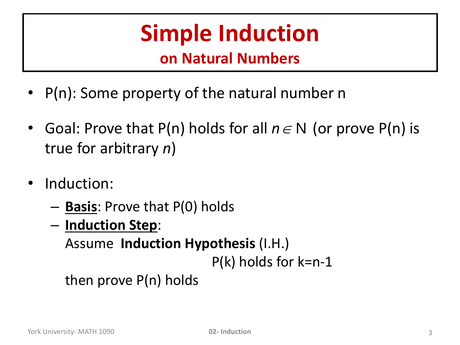# **Simple Induction**

#### **on Natural Numbers**

- P(n): Some property of the natural number n
- Goal: Prove that P(n) holds for all  $n \in N$  (or prove P(n) is true for arbitrary *n*)
- Induction:
	- **Basis**: Prove that P(0) holds
	- **Induction Step**:

Assume **Induction Hypothesis** (I.H.)

P(k) holds for k=n-1

then prove P(n) holds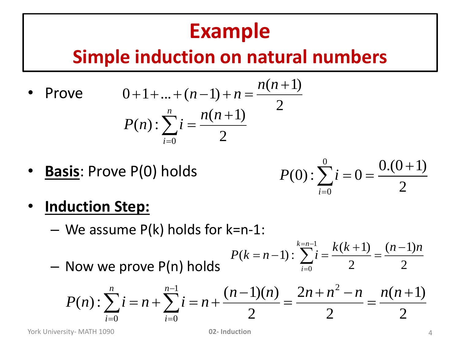### **Example**

### **Simple induction on natural numbers**

- **Prove** 2  $(n+1)$  $0 + 1 + \ldots + (n-1)$  $\ddot{}$  $+1+...+(n-1)+n=$ *n n*  $n-1) + n$ 2  $(n+1)$  $(n)$ : 0  $\ddot{}$  $\sum i =$  $=$ *n n*  $P(n): \sum_{i}$ *n i*
- **Basis**: Prove P(0) holds

$$
P(0): \sum_{i=0}^{0} i = 0 = \frac{0.(0+1)}{2}
$$

- **Induction Step:**
	- $-$  We assume P(k) holds for k=n-1:

– Now we prove P(n) holds

$$
P(k=n-1): \sum_{i=0}^{k=n-1} i = \frac{k(k+1)}{2} = \frac{(n-1)n}{2}
$$

$$
P(n): \sum_{i=0}^{n} i = n + \sum_{i=0}^{n-1} i = n + \frac{(n-1)(n)}{2} = \frac{2n + n^2 - n}{2} = \frac{n(n+1)(n+1)}{2}
$$

York University- MATH 1090 **02- Induction** 4

2

 $=$ 

 $(n+1)$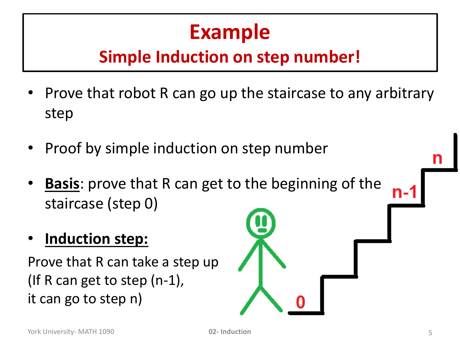## **Example**

### **Simple Induction on step number!**

- Prove that robot R can go up the staircase to any arbitrary step
- Proof by simple induction on step number
- **Basis**: prove that R can get to the beginning of the staircase (step 0)
- **Induction step:**

Prove that R can take a step up (If R can get to step (n-1), it can go to step n)

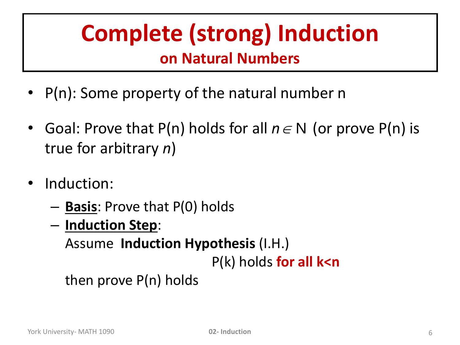### **Complete (strong) Induction on Natural Numbers**

- P(n): Some property of the natural number n
- Goal: Prove that P(n) holds for all  $n \in N$  (or prove P(n) is true for arbitrary *n*)
- Induction:
	- **Basis**: Prove that P(0) holds
	- **Induction Step**:

Assume **Induction Hypothesis** (I.H.)

P(k) holds **for all k<n**

then prove P(n) holds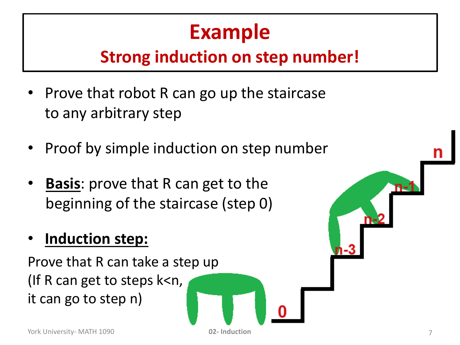## **Example**

### **Strong induction on step number!**

- Prove that robot R can go up the staircase to any arbitrary step
- Proof by simple induction on step number
- **Basis**: prove that R can get to the beginning of the staircase (step 0)

### • **Induction step:**

Prove that R can take a step up (If R can get to steps k<n, it can go to step n)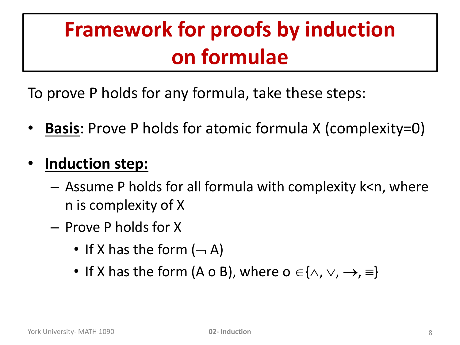## **Framework for proofs by induction on formulae**

To prove P holds for any formula, take these steps:

**Basis:** Prove P holds for atomic formula X (complexity=0)

#### • **Induction step:**

- Assume P holds for all formula with complexity k<n, where n is complexity of X
- Prove P holds for X
	- If X has the form  $(-A)$
	- If X has the form (A o B), where  $o \in \{\wedge, \vee, \rightarrow, \equiv\}$